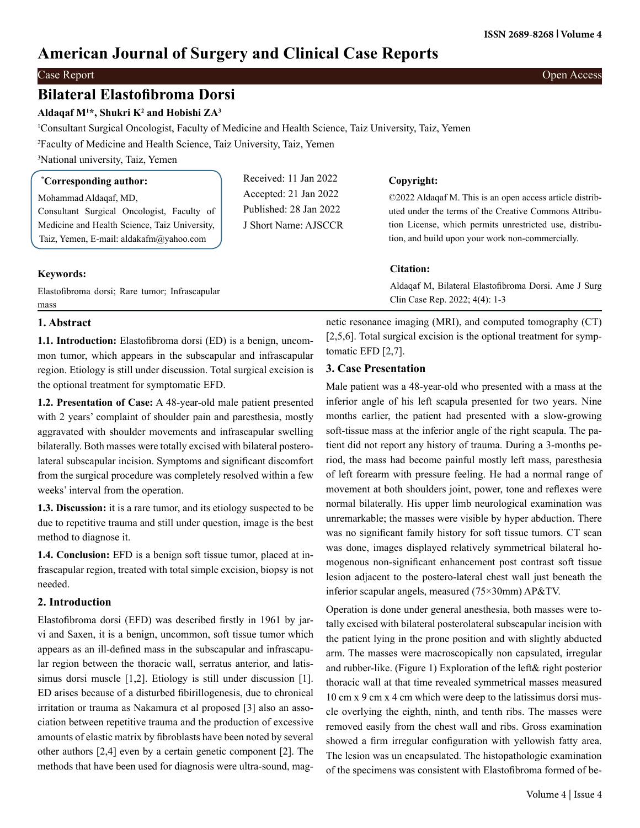# **American Journal of Surgery and Clinical Case Reports**

### Case Report Open Access

# **Bilateral Elastofibroma Dorsi**

# **Aldaqaf M1 \*, Shukri K2 and Hobishi ZA<sup>3</sup>**

1 Consultant Surgical Oncologist, Faculty of Medicine and Health Science, Taiz University, Taiz, Yemen

2 Faculty of Medicine and Health Science, Taiz University, Taiz, Yemen

3 National university, Taiz, Yemen

| <i>Corresponding author:</i>                                                             | Received: 11 Jan 2022                           | Copyright:                                                                                                        |
|------------------------------------------------------------------------------------------|-------------------------------------------------|-------------------------------------------------------------------------------------------------------------------|
| Mohammad Aldaqaf, MD,<br>Consultant Surgical Oncologist, Faculty of                      | Accepted: 21 Jan 2022<br>Published: 28 Jan 2022 | ©2022 Aldagaf M. This is an open access article distrib-<br>uted under the terms of the Creative Commons Attribu- |
| Medicine and Health Science, Taiz University,<br>Taiz, Yemen, E-mail: aldakafm@yahoo.com | J Short Name: AJSCCR                            | tion License, which permits unrestricted use, distribu-<br>tion, and build upon your work non-commercially.       |
| $K$ <sub>a</sub> <i>u</i> <sub>n</sub> $\alpha$ <i>r</i> <sup>d</sup> $\alpha$ <i>'</i>  |                                                 | <b>Citation:</b>                                                                                                  |

## **Keywords:**

Elastofibroma dorsi; Rare tumor; Infrascapular mass

# netic resonance imaging (MRI), and computed tomography (CT) [2,5,6]. Total surgical excision is the optional treatment for symptomatic EFD [2,7].

Clin Case Rep. 2022; 4(4): 1-3

Aldaqaf M, Bilateral Elastofibroma Dorsi. Ame J Surg

# **3. Case Presentation**

Male patient was a 48-year-old who presented with a mass at the inferior angle of his left scapula presented for two years. Nine months earlier, the patient had presented with a slow-growing soft-tissue mass at the inferior angle of the right scapula. The patient did not report any history of trauma. During a 3-months period, the mass had become painful mostly left mass, paresthesia of left forearm with pressure feeling. He had a normal range of movement at both shoulders joint, power, tone and reflexes were normal bilaterally. His upper limb neurological examination was unremarkable; the masses were visible by hyper abduction. There was no significant family history for soft tissue tumors. CT scan was done, images displayed relatively symmetrical bilateral homogenous non-significant enhancement post contrast soft tissue lesion adjacent to the postero-lateral chest wall just beneath the inferior scapular angels, measured (75×30mm) AP&TV.

Operation is done under general anesthesia, both masses were totally excised with bilateral posterolateral subscapular incision with the patient lying in the prone position and with slightly abducted arm. The masses were macroscopically non capsulated, irregular and rubber-like. (Figure 1) Exploration of the left& right posterior thoracic wall at that time revealed symmetrical masses measured 10 cm x 9 cm x 4 cm which were deep to the latissimus dorsi muscle overlying the eighth, ninth, and tenth ribs. The masses were removed easily from the chest wall and ribs. Gross examination showed a firm irregular configuration with yellowish fatty area. The lesion was un encapsulated. The histopathologic examination of the specimens was consistent with Elastofibroma formed of be-

# **1. Abstract**

**1.1. Introduction:** Elastofibroma dorsi (ED) is a benign, uncommon tumor, which appears in the subscapular and infrascapular region. Etiology is still under discussion. Total surgical excision is the optional treatment for symptomatic EFD.

**1.2. Presentation of Case:** A 48-year-old male patient presented with 2 years' complaint of shoulder pain and paresthesia, mostly aggravated with shoulder movements and infrascapular swelling bilaterally. Both masses were totally excised with bilateral posterolateral subscapular incision. Symptoms and significant discomfort from the surgical procedure was completely resolved within a few weeks' interval from the operation.

**1.3. Discussion:** it is a rare tumor, and its etiology suspected to be due to repetitive trauma and still under question, image is the best method to diagnose it.

**1.4. Conclusion:** EFD is a benign soft tissue tumor, placed at infrascapular region, treated with total simple excision, biopsy is not needed.

# **2. Introduction**

Elastofibroma dorsi (EFD) was described firstly in 1961 by jarvi and Saxen, it is a benign, uncommon, soft tissue tumor which appears as an ill-defined mass in the subscapular and infrascapular region between the thoracic wall, serratus anterior, and latissimus dorsi muscle [1,2]. Etiology is still under discussion [1]. ED arises because of a disturbed fibirillogenesis, due to chronical irritation or trauma as Nakamura et al proposed [3] also an association between repetitive trauma and the production of excessive amounts of elastic matrix by fibroblasts have been noted by several other authors [2,4] even by a certain genetic component [2]. The methods that have been used for diagnosis were ultra-sound, mag-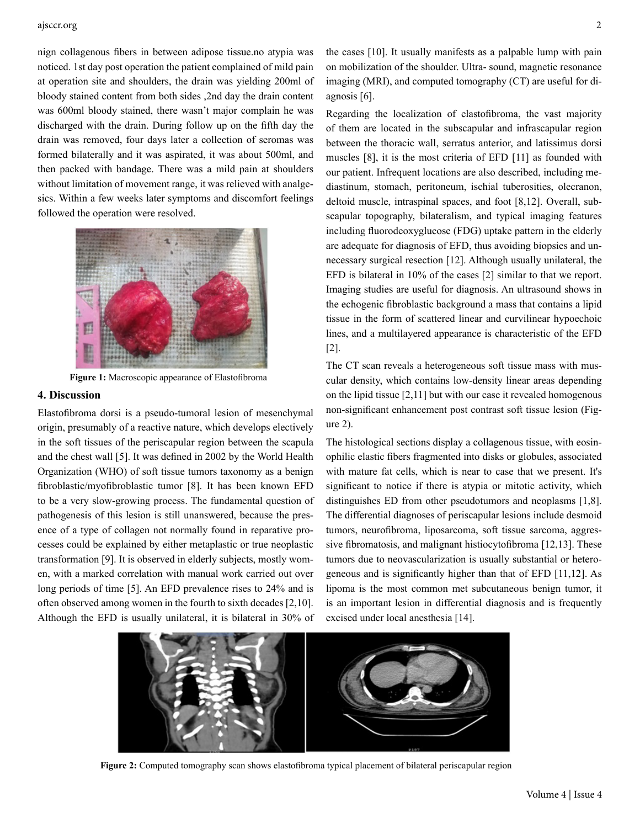#### ajsccr.org 2

nign collagenous fibers in between adipose tissue.no atypia was noticed. 1st day post operation the patient complained of mild pain at operation site and shoulders, the drain was yielding 200ml of bloody stained content from both sides ,2nd day the drain content was 600ml bloody stained, there wasn't major complain he was discharged with the drain. During follow up on the fifth day the drain was removed, four days later a collection of seromas was formed bilaterally and it was aspirated, it was about 500ml, and then packed with bandage. There was a mild pain at shoulders without limitation of movement range, it was relieved with analgesics. Within a few weeks later symptoms and discomfort feelings followed the operation were resolved.



**Figure 1:** Macroscopic appearance of Elastofibroma

#### **4. Discussion**

Elastofibroma dorsi is a pseudo-tumoral lesion of mesenchymal origin, presumably of a reactive nature, which develops electively in the soft tissues of the periscapular region between the scapula and the chest wall [5]. It was defined in 2002 by the World Health Organization (WHO) of soft tissue tumors taxonomy as a benign fibroblastic/myofibroblastic tumor [8]. It has been known EFD to be a very slow-growing process. The fundamental question of pathogenesis of this lesion is still unanswered, because the presence of a type of collagen not normally found in reparative processes could be explained by either metaplastic or true neoplastic transformation [9]. It is observed in elderly subjects, mostly women, with a marked correlation with manual work carried out over long periods of time [5]. An EFD prevalence rises to 24% and is often observed among women in the fourth to sixth decades [2,10]. Although the EFD is usually unilateral, it is bilateral in 30% of

the cases [10]. It usually manifests as a palpable lump with pain on mobilization of the shoulder. Ultra- sound, magnetic resonance imaging (MRI), and computed tomography (CT) are useful for diagnosis [6].

Regarding the localization of elastofibroma, the vast majority of them are located in the subscapular and infrascapular region between the thoracic wall, serratus anterior, and latissimus dorsi muscles [8], it is the most criteria of EFD [11] as founded with our patient. Infrequent locations are also described, including mediastinum, stomach, peritoneum, ischial tuberosities, olecranon, deltoid muscle, intraspinal spaces, and foot [8,12]. Overall, subscapular topography, bilateralism, and typical imaging features including fluorodeoxyglucose (FDG) uptake pattern in the elderly are adequate for diagnosis of EFD, thus avoiding biopsies and unnecessary surgical resection [12]. Although usually unilateral, the EFD is bilateral in 10% of the cases [2] similar to that we report. Imaging studies are useful for diagnosis. An ultrasound shows in the echogenic fibroblastic background a mass that contains a lipid tissue in the form of scattered linear and curvilinear hypoechoic lines, and a multilayered appearance is characteristic of the EFD [2].

The CT scan reveals a heterogeneous soft tissue mass with muscular density, which contains low-density linear areas depending on the lipid tissue [2,11] but with our case it revealed homogenous non-significant enhancement post contrast soft tissue lesion (Figure 2).

The histological sections display a collagenous tissue, with eosinophilic elastic fibers fragmented into disks or globules, associated with mature fat cells, which is near to case that we present. It's significant to notice if there is atypia or mitotic activity, which distinguishes ED from other pseudotumors and neoplasms [1,8]. The differential diagnoses of periscapular lesions include desmoid tumors, neurofibroma, liposarcoma, soft tissue sarcoma, aggressive fibromatosis, and malignant histiocytofibroma [12,13]. These tumors due to neovascularization is usually substantial or heterogeneous and is significantly higher than that of EFD [11,12]. As lipoma is the most common met subcutaneous benign tumor, it is an important lesion in differential diagnosis and is frequently excised under local anesthesia [14].



**Figure 2:** Computed tomography scan shows elastofibroma typical placement of bilateral periscapular region